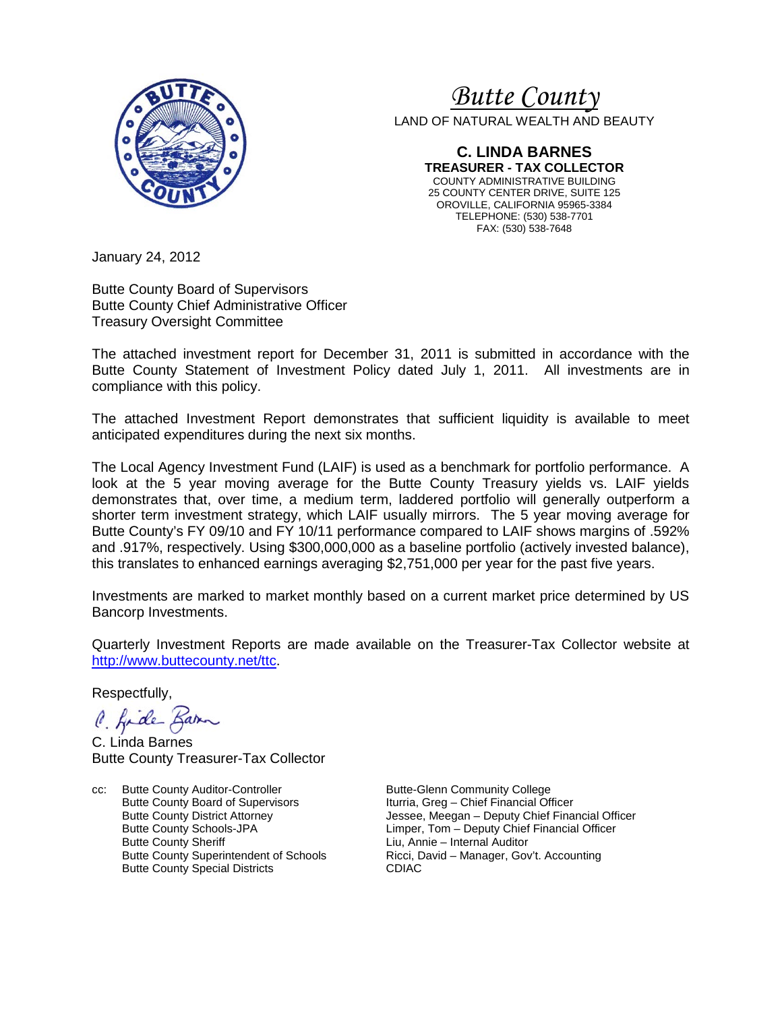

# *Butte County*

LAND OF NATURAL WEALTH AND BEAUTY

**C. LINDA BARNES TREASURER - TAX COLLECTOR** COUNTY ADMINISTRATIVE BUILDING 25 COUNTY CENTER DRIVE, SUITE 125 OROVILLE, CALIFORNIA 95965-3384 TELEPHONE: (530) 538-7701 FAX: (530) 538-7648

January 24, 2012

Butte County Board of Supervisors Butte County Chief Administrative Officer Treasury Oversight Committee

The attached investment report for December 31, 2011 is submitted in accordance with the Butte County Statement of Investment Policy dated July 1, 2011. All investments are in compliance with this policy.

The attached Investment Report demonstrates that sufficient liquidity is available to meet anticipated expenditures during the next six months.

The Local Agency Investment Fund (LAIF) is used as a benchmark for portfolio performance. A look at the 5 year moving average for the Butte County Treasury yields vs. LAIF yields demonstrates that, over time, a medium term, laddered portfolio will generally outperform a shorter term investment strategy, which LAIF usually mirrors. The 5 year moving average for Butte County's FY 09/10 and FY 10/11 performance compared to LAIF shows margins of .592% and .917%, respectively. Using \$300,000,000 as a baseline portfolio (actively invested balance), this translates to enhanced earnings averaging \$2,751,000 per year for the past five years.

Investments are marked to market monthly based on a current market price determined by US Bancorp Investments.

Quarterly Investment Reports are made available on the Treasurer-Tax Collector website at [http://www.buttecounty.net/ttc.](http://www.buttecounty.net/ttc)

Respectfully,

C. fide Barn

C. Linda Barnes Butte County Treasurer-Tax Collector

cc: Butte County Auditor-Controller Butte-Glenn Community College<br>Butte County Board of Supervisors butteria, Greg - Chief Financial Of Butte County Board of Supervisors **Iturria, Greg – Chief Financial Officer**<br>Butte County District Attorney **In the State of Senan-** Deputy Chief Fina Butte County Sheriff **Liu, Annie – Internal Auditor**<br>Butte County Superintendent of Schools **Ricci, David – Manager, Gov** Butte County Special Districts CDIAC

Butte County District Attorney **Jessee, Meegan** – Deputy Chief Financial Officer<br>Butte County Schools-JPA **County County County County Chief Financial Officer** Butte County Schools-JPA<br>
Butte County Sheriff 
Liu, Annie – Internal Auditor<br>
Liu, Annie – Internal Auditor Ricci, David – Manager, Gov't. Accounting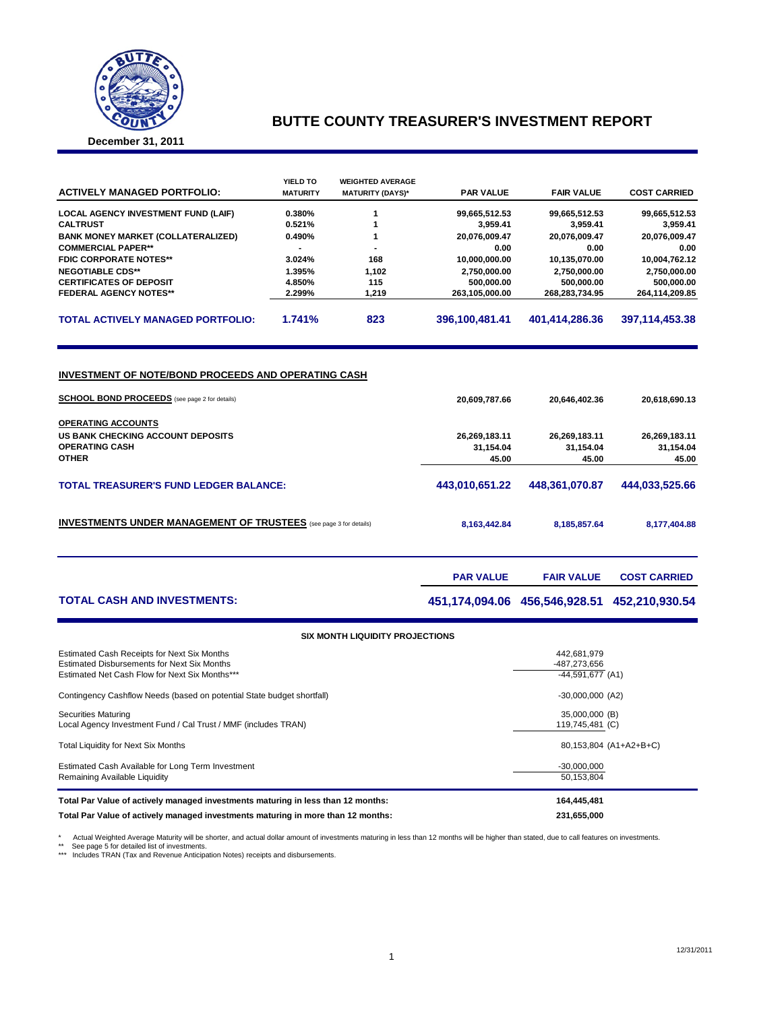

### **BUTTE COUNTY TREASURER'S INVESTMENT REPORT**

**December 31, 2011**

| <b>ACTIVELY MANAGED PORTFOLIO:</b>                                                                                                                                     | <b>YIELD TO</b><br><b>MATURITY</b> | <b>WEIGHTED AVERAGE</b><br><b>MATURITY (DAYS)*</b> | <b>PAR VALUE</b>                                     | <b>FAIR VALUE</b>                                    | <b>COST CARRIED</b>                                  |
|------------------------------------------------------------------------------------------------------------------------------------------------------------------------|------------------------------------|----------------------------------------------------|------------------------------------------------------|------------------------------------------------------|------------------------------------------------------|
| LOCAL AGENCY INVESTMENT FUND (LAIF)                                                                                                                                    | 0.380%                             | 1                                                  | 99,665,512.53                                        | 99,665,512.53                                        | 99,665,512.53                                        |
| <b>CALTRUST</b>                                                                                                                                                        | 0.521%                             | 1                                                  | 3,959.41                                             | 3,959.41                                             | 3,959.41                                             |
| <b>BANK MONEY MARKET (COLLATERALIZED)</b>                                                                                                                              | 0.490%                             | 1                                                  | 20,076,009.47                                        | 20,076,009.47                                        | 20,076,009.47                                        |
| <b>COMMERCIAL PAPER**</b>                                                                                                                                              |                                    |                                                    | 0.00                                                 | 0.00                                                 | 0.00                                                 |
| <b>FDIC CORPORATE NOTES**</b>                                                                                                                                          | 3.024%                             | 168                                                | 10.000.000.00                                        | 10,135,070.00                                        | 10.004.762.12                                        |
| <b>NEGOTIABLE CDS**</b>                                                                                                                                                | 1.395%                             | 1,102                                              | 2,750,000.00                                         | 2,750,000.00                                         | 2,750,000.00                                         |
| <b>CERTIFICATES OF DEPOSIT</b>                                                                                                                                         | 4.850%                             | 115                                                | 500,000.00                                           | 500,000.00                                           | 500,000.00                                           |
| <b>FEDERAL AGENCY NOTES**</b>                                                                                                                                          | 2.299%                             | 1,219                                              | 263,105,000.00                                       | 268,283,734.95                                       | 264,114,209.85                                       |
| <b>TOTAL ACTIVELY MANAGED PORTFOLIO:</b>                                                                                                                               | 1.741%                             | 823                                                | 396,100,481.41                                       | 401,414,286.36                                       | 397,114,453.38                                       |
| <b>SCHOOL BOND PROCEEDS</b> (see page 2 for details)<br><b>OPERATING ACCOUNTS</b><br><b>US BANK CHECKING ACCOUNT DEPOSITS</b><br><b>OPERATING CASH</b><br><b>OTHER</b> |                                    |                                                    | 20,609,787.66<br>26,269,183.11<br>31.154.04<br>45.00 | 20,646,402.36<br>26,269,183.11<br>31.154.04<br>45.00 | 20,618,690.13<br>26,269,183.11<br>31.154.04<br>45.00 |
| <b>TOTAL TREASURER'S FUND LEDGER BALANCE:</b>                                                                                                                          |                                    |                                                    | 443,010,651.22                                       | 448,361,070.87                                       | 444,033,525.66                                       |
| <b>INVESTMENTS UNDER MANAGEMENT OF TRUSTEES</b> (see page 3 for details)                                                                                               |                                    |                                                    | 8,163,442.84                                         | 8,185,857.64                                         | 8,177,404.88                                         |
|                                                                                                                                                                        |                                    |                                                    | <b>PAR VALUE</b>                                     | <b>FAIR VALUE</b>                                    | <b>COST CARRIED</b>                                  |
| <b>TOTAL CASH AND INVESTMENTS:</b>                                                                                                                                     |                                    |                                                    |                                                      | 451,174,094.06 456,546,928.51                        | 452,210,930.54                                       |

| <b>SIX MONTH LIQUIDITY PROJECTIONS</b>                                                                                                       |                                                   |  |  |  |  |  |  |
|----------------------------------------------------------------------------------------------------------------------------------------------|---------------------------------------------------|--|--|--|--|--|--|
| Estimated Cash Receipts for Next Six Months<br>Estimated Disbursements for Next Six Months<br>Estimated Net Cash Flow for Next Six Months*** | 442.681.979<br>-487.273.656<br>$-44.591.677$ (A1) |  |  |  |  |  |  |
| Contingency Cashflow Needs (based on potential State budget shortfall)                                                                       | $-30,000,000$ (A2)                                |  |  |  |  |  |  |
| <b>Securities Maturing</b><br>Local Agency Investment Fund / Cal Trust / MMF (includes TRAN)                                                 | 35,000,000 (B)<br>119,745,481 (C)                 |  |  |  |  |  |  |
| <b>Total Liquidity for Next Six Months</b>                                                                                                   | 80,153,804 (A1+A2+B+C)                            |  |  |  |  |  |  |
| Estimated Cash Available for Long Term Investment<br>Remaining Available Liquidity                                                           | $-30,000,000$<br>50.153.804                       |  |  |  |  |  |  |
| Total Par Value of actively managed investments maturing in less than 12 months:                                                             | 164,445,481                                       |  |  |  |  |  |  |
| Total Par Value of actively managed investments maturing in more than 12 months:                                                             | 231,655,000                                       |  |  |  |  |  |  |

\* Actual Weighted Average Maturity will be shorter, and actual dollar amount of investments maturing in less than 12 months will be higher than stated, due to call features on investments<br>\*\* See page 5 for detailed list of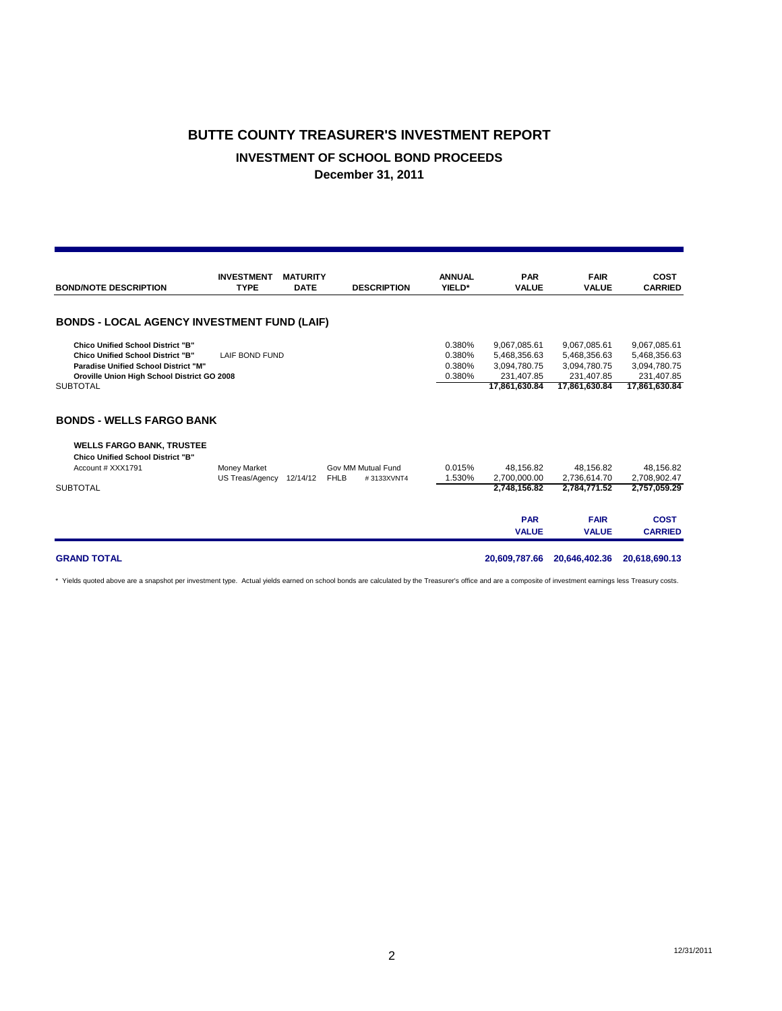# **BUTTE COUNTY TREASURER'S INVESTMENT REPORT INVESTMENT OF SCHOOL BOND PROCEEDS December 31, 2011**

| <b>ANNUAL</b><br><b>FAIR</b><br><b>INVESTMENT</b><br><b>MATURITY</b><br><b>PAR</b><br><b>TYPE</b><br><b>DATE</b><br><b>VALUE</b><br><b>BOND/NOTE DESCRIPTION</b><br><b>DESCRIPTION</b><br>YIELD*<br><b>VALUE</b><br><b>BONDS - LOCAL AGENCY INVESTMENT FUND (LAIF)</b><br>0.380%<br>9,067,085.61<br><b>Chico Unified School District "B"</b><br>9,067,085.61<br>0.380%<br>5,468,356.63<br>5,468,356.63<br><b>Chico Unified School District "B"</b><br>LAIF BOND FUND<br>0.380%<br><b>Paradise Unified School District "M"</b><br>3,094,780.75<br>3,094,780.75<br>0.380%<br>231.407.85<br>231.407.85<br>Oroville Union High School District GO 2008<br>17,861,630.84<br><b>SUBTOTAL</b><br>17,861,630.84<br>17,861,630.84 |                               |
|--------------------------------------------------------------------------------------------------------------------------------------------------------------------------------------------------------------------------------------------------------------------------------------------------------------------------------------------------------------------------------------------------------------------------------------------------------------------------------------------------------------------------------------------------------------------------------------------------------------------------------------------------------------------------------------------------------------------------|-------------------------------|
|                                                                                                                                                                                                                                                                                                                                                                                                                                                                                                                                                                                                                                                                                                                          | <b>COST</b><br><b>CARRIED</b> |
|                                                                                                                                                                                                                                                                                                                                                                                                                                                                                                                                                                                                                                                                                                                          |                               |
|                                                                                                                                                                                                                                                                                                                                                                                                                                                                                                                                                                                                                                                                                                                          |                               |
|                                                                                                                                                                                                                                                                                                                                                                                                                                                                                                                                                                                                                                                                                                                          | 9,067,085.61                  |
|                                                                                                                                                                                                                                                                                                                                                                                                                                                                                                                                                                                                                                                                                                                          | 5,468,356.63                  |
|                                                                                                                                                                                                                                                                                                                                                                                                                                                                                                                                                                                                                                                                                                                          | 3,094,780.75                  |
|                                                                                                                                                                                                                                                                                                                                                                                                                                                                                                                                                                                                                                                                                                                          | 231,407.85                    |
|                                                                                                                                                                                                                                                                                                                                                                                                                                                                                                                                                                                                                                                                                                                          |                               |
| <b>BONDS - WELLS FARGO BANK</b>                                                                                                                                                                                                                                                                                                                                                                                                                                                                                                                                                                                                                                                                                          |                               |
| <b>WELLS FARGO BANK, TRUSTEE</b><br><b>Chico Unified School District "B"</b>                                                                                                                                                                                                                                                                                                                                                                                                                                                                                                                                                                                                                                             |                               |
| 0.015%<br>48.156.82<br>Account # XXX1791<br>Money Market<br>Gov MM Mutual Fund<br>48,156.82                                                                                                                                                                                                                                                                                                                                                                                                                                                                                                                                                                                                                              | 48,156.82                     |
| 1.530%<br>2,700,000.00<br>2.736.614.70<br>US Treas/Agency<br>12/14/12<br><b>FHLB</b><br>#3133XVNT4<br><b>SUBTOTAL</b><br>2,748,156.82<br>2,784,771.52                                                                                                                                                                                                                                                                                                                                                                                                                                                                                                                                                                    | 2,708,902.47<br>2,757,059.29  |
|                                                                                                                                                                                                                                                                                                                                                                                                                                                                                                                                                                                                                                                                                                                          |                               |
| <b>PAR</b><br><b>FAIR</b><br><b>VALUE</b><br><b>VALUE</b>                                                                                                                                                                                                                                                                                                                                                                                                                                                                                                                                                                                                                                                                | <b>COST</b><br><b>CARRIED</b> |

**GRAND TOTAL 20,609,787.66 20,646,402.36 20,618,690.13**

\* Yields quoted above are a snapshot per investment type. Actual yields earned on school bonds are calculated by the Treasurer's office and are a composite of investment earnings less Treasury costs.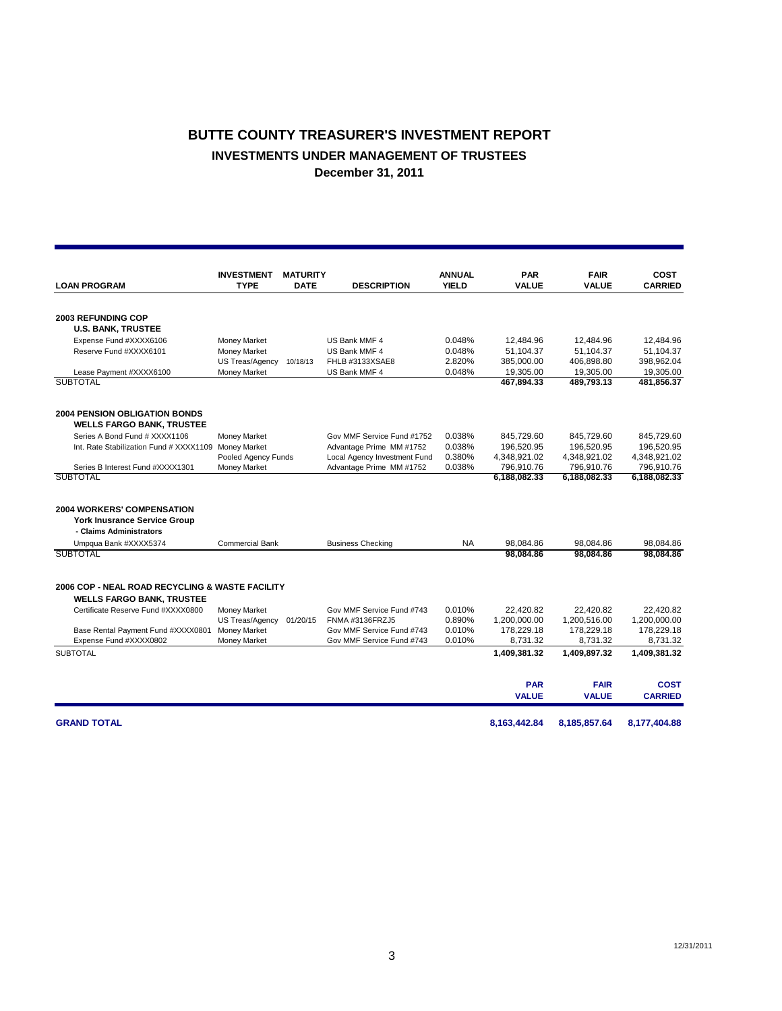## **BUTTE COUNTY TREASURER'S INVESTMENT REPORT INVESTMENTS UNDER MANAGEMENT OF TRUSTEES December 31, 2011**

|                                                 | <b>INVESTMENT</b>               | <b>MATURITY</b> |                                              | <b>ANNUAL</b>    | <b>PAR</b>                | <b>FAIR</b>               | <b>COST</b>               |
|-------------------------------------------------|---------------------------------|-----------------|----------------------------------------------|------------------|---------------------------|---------------------------|---------------------------|
| <b>LOAN PROGRAM</b>                             | <b>TYPE</b>                     | <b>DATE</b>     | <b>DESCRIPTION</b>                           | <b>YIELD</b>     | <b>VALUE</b>              | <b>VALUE</b>              | <b>CARRIED</b>            |
|                                                 |                                 |                 |                                              |                  |                           |                           |                           |
| <b>2003 REFUNDING COP</b>                       |                                 |                 |                                              |                  |                           |                           |                           |
| <b>U.S. BANK, TRUSTEE</b>                       |                                 |                 |                                              |                  |                           |                           |                           |
| Expense Fund #XXXX6106                          | Money Market                    |                 | US Bank MMF 4                                | 0.048%           | 12,484.96                 | 12,484.96                 | 12,484.96                 |
| Reserve Fund #XXXX6101                          | Money Market                    |                 | US Bank MMF 4                                | 0.048%           | 51,104.37                 | 51,104.37                 | 51,104.37                 |
|                                                 | US Treas/Agency                 | 10/18/13        | FHLB #3133XSAE8                              | 2.820%           | 385,000.00                | 406,898.80                | 398,962.04                |
| Lease Payment #XXXX6100                         | Money Market                    |                 | US Bank MMF 4                                | 0.048%           | 19,305.00                 | 19,305.00                 | 19,305.00                 |
| <b>SUBTOTAL</b>                                 |                                 |                 |                                              |                  | 467,894.33                | 489,793.13                | 481,856.37                |
| <b>2004 PENSION OBLIGATION BONDS</b>            |                                 |                 |                                              |                  |                           |                           |                           |
| <b>WELLS FARGO BANK, TRUSTEE</b>                |                                 |                 |                                              |                  |                           |                           |                           |
| Series A Bond Fund # XXXX1106                   | Money Market                    |                 | Gov MMF Service Fund #1752                   | 0.038%           | 845,729.60                | 845,729.60                | 845,729.60                |
| Int. Rate Stabilization Fund # XXXX1109         | <b>Money Market</b>             |                 | Advantage Prime MM #1752                     | 0.038%           | 196,520.95                | 196,520.95                | 196,520.95                |
|                                                 | Pooled Agency Funds             |                 | Local Agency Investment Fund                 | 0.380%           | 4,348,921.02              | 4,348,921.02              | 4,348,921.02              |
| Series B Interest Fund #XXXX1301                | <b>Money Market</b>             |                 | Advantage Prime MM #1752                     | 0.038%           | 796,910.76                | 796,910.76                | 796,910.76                |
| <b>SUBTOTAL</b>                                 |                                 |                 |                                              |                  | 6,188,082.33              | 6,188,082.33              | 6,188,082.33              |
|                                                 |                                 |                 |                                              |                  |                           |                           |                           |
| <b>2004 WORKERS' COMPENSATION</b>               |                                 |                 |                                              |                  |                           |                           |                           |
| <b>York Inusrance Service Group</b>             |                                 |                 |                                              |                  |                           |                           |                           |
| - Claims Administrators                         |                                 |                 |                                              |                  |                           |                           |                           |
| Umpqua Bank #XXXX5374                           | <b>Commercial Bank</b>          |                 | <b>Business Checking</b>                     | <b>NA</b>        | 98.084.86                 | 98,084.86                 | 98.084.86                 |
| <b>SUBTOTAL</b>                                 |                                 |                 |                                              |                  | 98.084.86                 | 98.084.86                 | 98,084.86                 |
|                                                 |                                 |                 |                                              |                  |                           |                           |                           |
| 2006 COP - NEAL ROAD RECYCLING & WASTE FACILITY |                                 |                 |                                              |                  |                           |                           |                           |
| <b>WELLS FARGO BANK, TRUSTEE</b>                |                                 |                 |                                              |                  |                           |                           |                           |
| Certificate Reserve Fund #XXXX0800              | Money Market                    |                 | Gov MMF Service Fund #743<br>FNMA #3136FRZJ5 | 0.010%<br>0.890% | 22,420.82<br>1,200,000.00 | 22,420.82<br>1,200,516.00 | 22.420.82<br>1,200,000.00 |
| Base Rental Payment Fund #XXXX0801              | US Treas/Agency<br>Money Market | 01/20/15        | Gov MMF Service Fund #743                    | 0.010%           | 178,229.18                | 178,229.18                | 178,229.18                |
| Expense Fund #XXXX0802                          | Money Market                    |                 | Gov MMF Service Fund #743                    | 0.010%           | 8,731.32                  | 8,731.32                  | 8,731.32                  |
| <b>SUBTOTAL</b>                                 |                                 |                 |                                              |                  | 1,409,381.32              | 1,409,897.32              | 1,409,381.32              |
|                                                 |                                 |                 |                                              |                  |                           |                           |                           |
|                                                 |                                 |                 |                                              |                  | <b>PAR</b>                | <b>FAIR</b>               | <b>COST</b>               |
|                                                 |                                 |                 |                                              |                  | <b>VALUE</b>              | <b>VALUE</b>              | <b>CARRIED</b>            |
| <b>GRAND TOTAL</b>                              |                                 |                 |                                              |                  | 8,163,442.84              | 8,185,857.64              | 8,177,404.88              |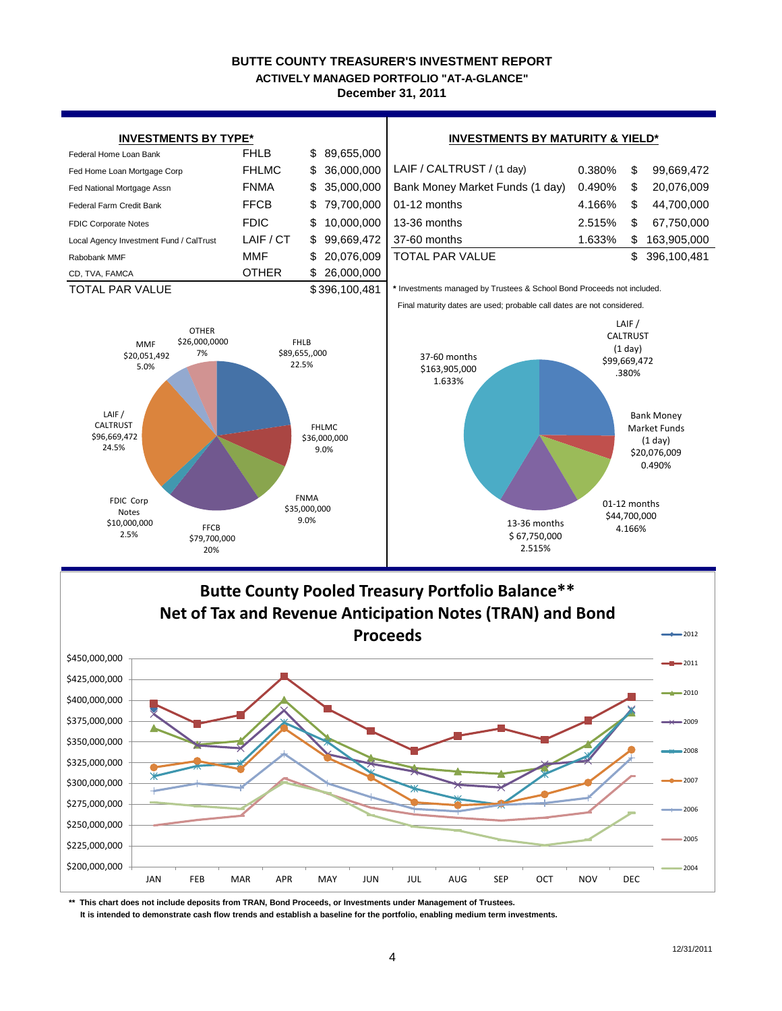### **BUTTE COUNTY TREASURER'S INVESTMENT REPORT December 31, 2011 ACTIVELY MANAGED PORTFOLIO "AT-A-GLANCE"**





**\*\* This chart does not include deposits from TRAN, Bond Proceeds, or Investments under Management of Trustees.**

 **It is intended to demonstrate cash flow trends and establish a baseline for the portfolio, enabling medium term investments.**